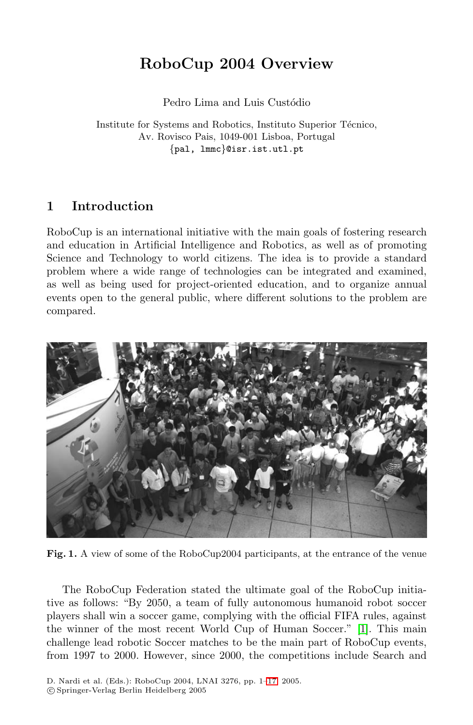# **RoboCup 2004 Overview**

Pedro Lima and Luis Custódio

Institute for Systems and Robotics, Instituto Superior Técnico, Av. Rovisco Pais, 1049-001 Lisboa, Portugal {pal, lmmc}@isr.ist.utl.pt

## **1 Introduction**

RoboCup is an international initiative with the main goals of fostering research and education in Artificial Intelligence and Robotics, as well as of promoting Science and Technology to world citizens. The idea is to provide a standard problem where a wide range of technologies can be integrated and examined, as well as being used for project-oriented education, and to organize annual events open to the general public, where different solutions to the problem are compared.



**Fig. 1.** A view of some of the RoboCup2004 participants, at the entrance of the venue

The RoboCup Federation stated the ultimate goal of the RoboCup initiative as follows: "By 2050, a team of fully autonomous humanoid robot soccer players shall win a soccer game, complying with the official FIFA rules, against the winner of the most recent World Cup of Human Soccer." [\[1\]](#page-15-0). This main challenge lead robotic Soccer matches to be the main part of RoboCup events, from 1997 to 2000. However, since 2000, the competitions include Search and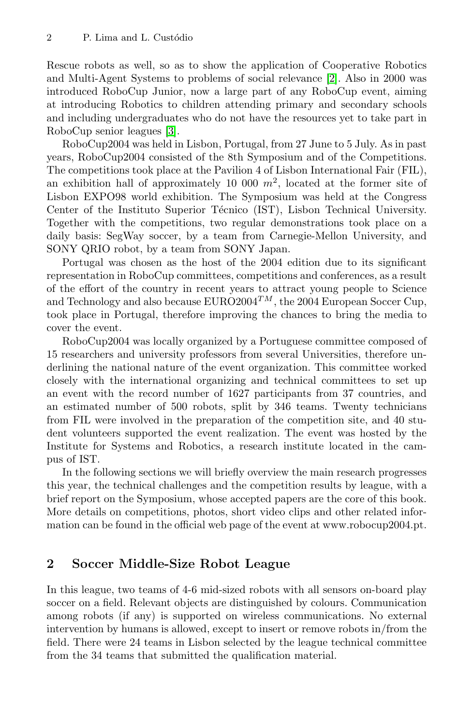Rescue robots as well, so as to show the application of Cooperative Robotics and Multi-Agent Systems to problems of social relevance [\[2\]](#page-15-0). Also in 2000 was introduced RoboCup Junior, now a large part of any RoboCup event, aiming at introducing Robotics to children attending primary and secondary schools and including undergraduates who do not have the resources yet to take part in RoboCup senior leagues [\[3\]](#page-15-0).

RoboCup2004 was held in Lisbon, Portugal, from 27 June to 5 July. As in past years, RoboCup2004 consisted of the 8th Symposium and of the Competitions. The competitions took place at the Pavilion 4 of Lisbon International Fair (FIL), an exhibition hall of approximately 10 000  $m^2$ , located at the former site of Lisbon EXPO98 world exhibition. The Symposium was held at the Congress Center of the Instituto Superior Técnico (IST), Lisbon Technical University. Together with the competitions, two regular demonstrations took place on a daily basis: SegWay soccer, by a team from Carnegie-Mellon University, and SONY QRIO robot, by a team from SONY Japan.

Portugal was chosen as the host of the 2004 edition due to its significant representation in RoboCup committees, competitions and conferences, as a result of the effort of the country in recent years to attract young people to Science and Technology and also because  $\text{EURO}2004^{TM}$ , the 2004 European Soccer Cup, took place in Portugal, therefore improving the chances to bring the media to cover the event.

RoboCup2004 was locally organized by a Portuguese committee composed of 15 researchers and university professors from several Universities, therefore underlining the national nature of the event organization. This committee worked closely with the international organizing and technical committees to set up an event with the record number of 1627 participants from 37 countries, and an estimated number of 500 robots, split by 346 teams. Twenty technicians from FIL were involved in the preparation of the competition site, and 40 student volunteers supported the event realization. The event was hosted by the Institute for Systems and Robotics, a research institute located in the campus of IST.

In the following sections we will briefly overview the main research progresses this year, the technical challenges and the competition results by league, with a brief report on the Symposium, whose accepted papers are the core of this book. More details on competitions, photos, short video clips and other related information can be found in the official web page of the event at www.robocup2004.pt.

### **2 Soccer Middle-Size Robot League**

In this league, two teams of 4-6 mid-sized robots with all sensors on-board play soccer on a field. Relevant objects are distinguished by colours. Communication among robots (if any) is supported on wireless communications. No external intervention by humans is allowed, except to insert or remove robots in/from the field. There were 24 teams in Lisbon selected by the league technical committee from the 34 teams that submitted the qualification material.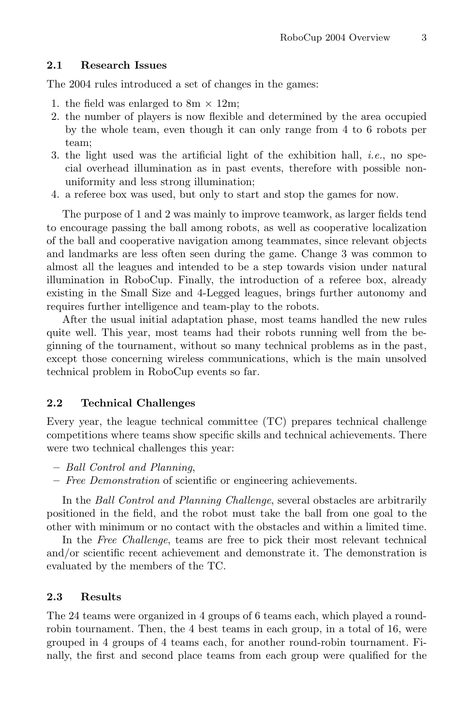#### **2.1 Research Issues**

The 2004 rules introduced a set of changes in the games:

- 1. the field was enlarged to 8m  $\times$  12m;
- 2. the number of players is now flexible and determined by the area occupied by the whole team, even though it can only range from 4 to 6 robots per team;
- 3. the light used was the artificial light of the exhibition hall, *i.e.*, no special overhead illumination as in past events, therefore with possible nonuniformity and less strong illumination;
- 4. a referee box was used, but only to start and stop the games for now.

The purpose of 1 and 2 was mainly to improve teamwork, as larger fields tend to encourage passing the ball among robots, as well as cooperative localization of the ball and cooperative navigation among teammates, since relevant objects and landmarks are less often seen during the game. Change 3 was common to almost all the leagues and intended to be a step towards vision under natural illumination in RoboCup. Finally, the introduction of a referee box, already existing in the Small Size and 4-Legged leagues, brings further autonomy and requires further intelligence and team-play to the robots.

After the usual initial adaptation phase, most teams handled the new rules quite well. This year, most teams had their robots running well from the beginning of the tournament, without so many technical problems as in the past, except those concerning wireless communications, which is the main unsolved technical problem in RoboCup events so far.

#### **2.2 Technical Challenges**

Every year, the league technical committee (TC) prepares technical challenge competitions where teams show specific skills and technical achievements. There were two technical challenges this year:

- **–** *Ball Control and Planning*,
- **–** *Free Demonstration* of scientific or engineering achievements.

In the *Ball Control and Planning Challenge*, several obstacles are arbitrarily positioned in the field, and the robot must take the ball from one goal to the other with minimum or no contact with the obstacles and within a limited time.

In the *Free Challenge*, teams are free to pick their most relevant technical and/or scientific recent achievement and demonstrate it. The demonstration is evaluated by the members of the TC.

#### **2.3 Results**

The 24 teams were organized in 4 groups of 6 teams each, which played a roundrobin tournament. Then, the 4 best teams in each group, in a total of 16, were grouped in 4 groups of 4 teams each, for another round-robin tournament. Finally, the first and second place teams from each group were qualified for the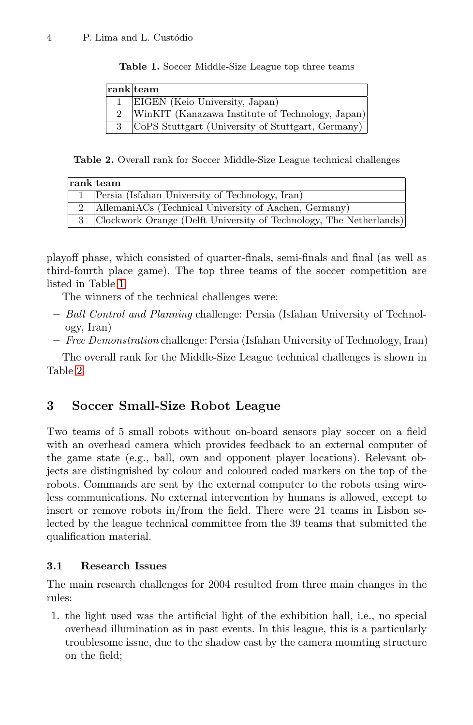**Table 1.** Soccer Middle-Size League top three teams

| rank team                                         |
|---------------------------------------------------|
| EIGEN (Keio University, Japan)                    |
| WinKIT (Kanazawa Institute of Technology, Japan)  |
| CoPS Stuttgart (University of Stuttgart, Germany) |

**Table 2.** Overall rank for Soccer Middle-Size League technical challenges

| rankteam                                                             |
|----------------------------------------------------------------------|
| 1   Persia (Isfahan University of Technology, Iran)                  |
| 2 AllemaniACs (Technical University of Aachen, Germany)              |
| 3 Clockwork Orange (Delft University of Technology, The Netherlands) |

playoff phase, which consisted of quarter-finals, semi-finals and final (as well as third-fourth place game). The top three teams of the soccer competition are listed in Table 1.

The winners of the technical challenges were:

- **–** *Ball Control and Planning* challenge: Persia (Isfahan University of Technology, Iran)
- **–** *Free Demonstration* challenge: Persia (Isfahan University of Technology, Iran)

The overall rank for the Middle-Size League technical challenges is shown in Table 2.

## **3 Soccer Small-Size Robot League**

Two teams of 5 small robots without on-board sensors play soccer on a field with an overhead camera which provides feedback to an external computer of the game state (e.g., ball, own and opponent player locations). Relevant objects are distinguished by colour and coloured coded markers on the top of the robots. Commands are sent by the external computer to the robots using wireless communications. No external intervention by humans is allowed, except to insert or remove robots in/from the field. There were 21 teams in Lisbon selected by the league technical committee from the 39 teams that submitted the qualification material.

#### **3.1 Research Issues**

The main research challenges for 2004 resulted from three main changes in the rules:

1. the light used was the artificial light of the exhibition hall, i.e., no special overhead illumination as in past events. In this league, this is a particularly troublesome issue, due to the shadow cast by the camera mounting structure on the field;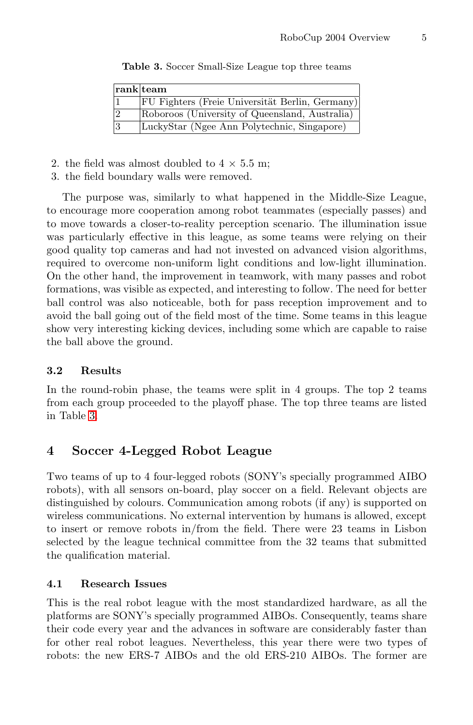|   | rank team                                              |
|---|--------------------------------------------------------|
|   | <b>FU Fighters (Freie Universität Berlin, Germany)</b> |
|   | Roboroos (University of Queensland, Australia)         |
| 3 | LuckyStar (Ngee Ann Polytechnic, Singapore)            |

**Table 3.** Soccer Small-Size League top three teams

- 2. the field was almost doubled to  $4 \times 5.5$  m;
- 3. the field boundary walls were removed.

The purpose was, similarly to what happened in the Middle-Size League, to encourage more cooperation among robot teammates (especially passes) and to move towards a closer-to-reality perception scenario. The illumination issue was particularly effective in this league, as some teams were relying on their good quality top cameras and had not invested on advanced vision algorithms, required to overcome non-uniform light conditions and low-light illumination. On the other hand, the improvement in teamwork, with many passes and robot formations, was visible as expected, and interesting to follow. The need for better ball control was also noticeable, both for pass reception improvement and to avoid the ball going out of the field most of the time. Some teams in this league show very interesting kicking devices, including some which are capable to raise the ball above the ground.

#### **3.2 Results**

In the round-robin phase, the teams were split in 4 groups. The top 2 teams from each group proceeded to the playoff phase. The top three teams are listed in Table 3.

## **4 Soccer 4-Legged Robot League**

Two teams of up to 4 four-legged robots (SONY's specially programmed AIBO robots), with all sensors on-board, play soccer on a field. Relevant objects are distinguished by colours. Communication among robots (if any) is supported on wireless communications. No external intervention by humans is allowed, except to insert or remove robots in/from the field. There were 23 teams in Lisbon selected by the league technical committee from the 32 teams that submitted the qualification material.

#### **4.1 Research Issues**

This is the real robot league with the most standardized hardware, as all the platforms are SONY's specially programmed AIBOs. Consequently, teams share their code every year and the advances in software are considerably faster than for other real robot leagues. Nevertheless, this year there were two types of robots: the new ERS-7 AIBOs and the old ERS-210 AIBOs. The former are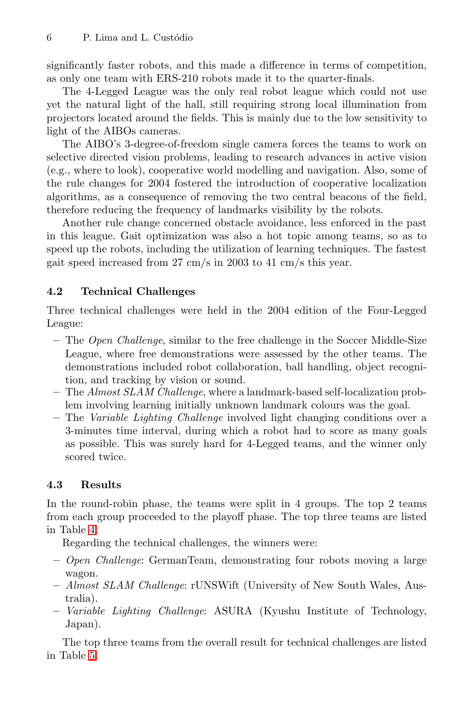significantly faster robots, and this made a difference in terms of competition, as only one team with ERS-210 robots made it to the quarter-finals.

The 4-Legged League was the only real robot league which could not use yet the natural light of the hall, still requiring strong local illumination from projectors located around the fields. This is mainly due to the low sensitivity to light of the AIBOs cameras.

The AIBO's 3-degree-of-freedom single camera forces the teams to work on selective directed vision problems, leading to research advances in active vision (e.g., where to look), cooperative world modelling and navigation. Also, some of the rule changes for 2004 fostered the introduction of cooperative localization algorithms, as a consequence of removing the two central beacons of the field, therefore reducing the frequency of landmarks visibility by the robots.

Another rule change concerned obstacle avoidance, less enforced in the past in this league. Gait optimization was also a hot topic among teams, so as to speed up the robots, including the utilization of learning techniques. The fastest gait speed increased from 27 cm/s in 2003 to 41 cm/s this year.

#### **4.2 Technical Challenges**

Three technical challenges were held in the 2004 edition of the Four-Legged League:

- **–** The *Open Challenge*, similar to the free challenge in the Soccer Middle-Size League, where free demonstrations were assessed by the other teams. The demonstrations included robot collaboration, ball handling, object recognition, and tracking by vision or sound.
- **–** The *Almost SLAM Challenge*, where a landmark-based self-localization problem involving learning initially unknown landmark colours was the goal.
- **–** The *Variable Lighting Challenge* involved light changing conditions over a 3-minutes time interval, during which a robot had to score as many goals as possible. This was surely hard for 4-Legged teams, and the winner only scored twice.

#### **4.3 Results**

In the round-robin phase, the teams were split in 4 groups. The top 2 teams from each group proceeded to the playoff phase. The top three teams are listed in Table [4.](#page-6-0)

Regarding the technical challenges, the winners were:

- **–** *Open Challenge*: GermanTeam, demonstrating four robots moving a large wagon.
- **–** *Almost SLAM Challenge*: rUNSWift (University of New South Wales, Australia).
- **–** *Variable Lighting Challenge*: ASURA (Kyushu Institute of Technology, Japan).

The top three teams from the overall result for technical challenges are listed in Table [5.](#page-6-0)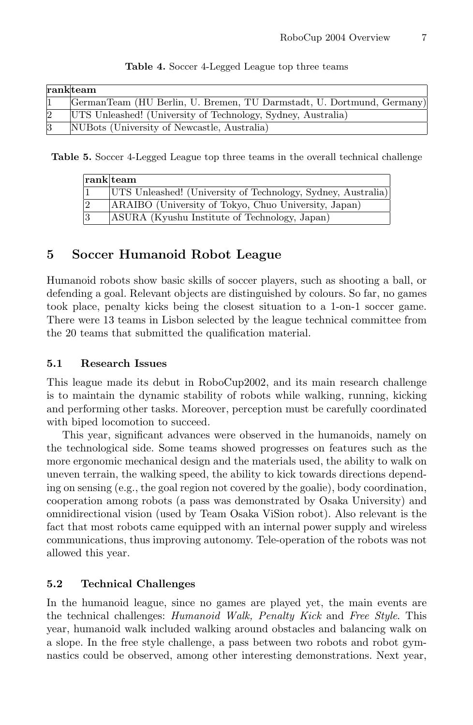<span id="page-6-0"></span>

| rank team                                                              |
|------------------------------------------------------------------------|
| German Team (HU Berlin, U. Bremen, TU Darmstadt, U. Dortmund, Germany) |
| UTS Unleashed! (University of Technology, Sydney, Australia)           |
| NUBots (University of Newcastle, Australia)                            |

**Table 4.** Soccer 4-Legged League top three teams

**Table 5.** Soccer 4-Legged League top three teams in the overall technical challenge

|             | rank team                                                    |
|-------------|--------------------------------------------------------------|
|             | UTS Unleashed! (University of Technology, Sydney, Australia) |
| $ 2\rangle$ | ARAIBO (University of Tokyo, Chuo University, Japan)         |
| 13          | ASURA (Kyushu Institute of Technology, Japan)                |

### **5 Soccer Humanoid Robot League**

Humanoid robots show basic skills of soccer players, such as shooting a ball, or defending a goal. Relevant objects are distinguished by colours. So far, no games took place, penalty kicks being the closest situation to a 1-on-1 soccer game. There were 13 teams in Lisbon selected by the league technical committee from the 20 teams that submitted the qualification material.

#### **5.1 Research Issues**

This league made its debut in RoboCup2002, and its main research challenge is to maintain the dynamic stability of robots while walking, running, kicking and performing other tasks. Moreover, perception must be carefully coordinated with biped locomotion to succeed.

This year, significant advances were observed in the humanoids, namely on the technological side. Some teams showed progresses on features such as the more ergonomic mechanical design and the materials used, the ability to walk on uneven terrain, the walking speed, the ability to kick towards directions depending on sensing (e.g., the goal region not covered by the goalie), body coordination, cooperation among robots (a pass was demonstrated by Osaka University) and omnidirectional vision (used by Team Osaka ViSion robot). Also relevant is the fact that most robots came equipped with an internal power supply and wireless communications, thus improving autonomy. Tele-operation of the robots was not allowed this year.

#### **5.2 Technical Challenges**

In the humanoid league, since no games are played yet, the main events are the technical challenges: *Humanoid Walk, Penalty Kick* and *Free Style*. This year, humanoid walk included walking around obstacles and balancing walk on a slope. In the free style challenge, a pass between two robots and robot gymnastics could be observed, among other interesting demonstrations. Next year,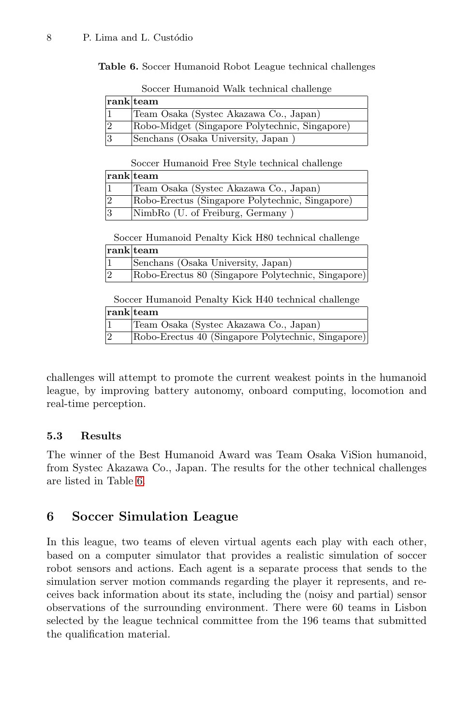**Table 6.** Soccer Humanoid Robot League technical challenges

| rankteam                                       |
|------------------------------------------------|
| Team Osaka (Systec Akazawa Co., Japan)         |
| Robo-Midget (Singapore Polytechnic, Singapore) |
| Senchans (Osaka University, Japan)             |

Soccer Humanoid Walk technical challenge

Soccer Humanoid Free Style technical challenge

| rankteam                                        |
|-------------------------------------------------|
| Team Osaka (Systec Akazawa Co., Japan)          |
| Robo-Erectus (Singapore Polytechnic, Singapore) |
| NimbRo (U. of Freiburg, Germany)                |

Soccer Humanoid Penalty Kick H80 technical challenge

|    | rank team                                          |
|----|----------------------------------------------------|
| 11 | Senchans (Osaka University, Japan)                 |
| 2  | Robo-Erectus 80 (Singapore Polytechnic, Singapore) |

Soccer Humanoid Penalty Kick H40 technical challenge

|   | rank team                                          |
|---|----------------------------------------------------|
|   | Team Osaka (Systec Akazawa Co., Japan)             |
| 2 | Robo-Erectus 40 (Singapore Polytechnic, Singapore) |

challenges will attempt to promote the current weakest points in the humanoid league, by improving battery autonomy, onboard computing, locomotion and real-time perception.

#### **5.3 Results**

The winner of the Best Humanoid Award was Team Osaka ViSion humanoid, from Systec Akazawa Co., Japan. The results for the other technical challenges are listed in Table 6.

#### **6 Soccer Simulation League**

In this league, two teams of eleven virtual agents each play with each other, based on a computer simulator that provides a realistic simulation of soccer robot sensors and actions. Each agent is a separate process that sends to the simulation server motion commands regarding the player it represents, and receives back information about its state, including the (noisy and partial) sensor observations of the surrounding environment. There were 60 teams in Lisbon selected by the league technical committee from the 196 teams that submitted the qualification material.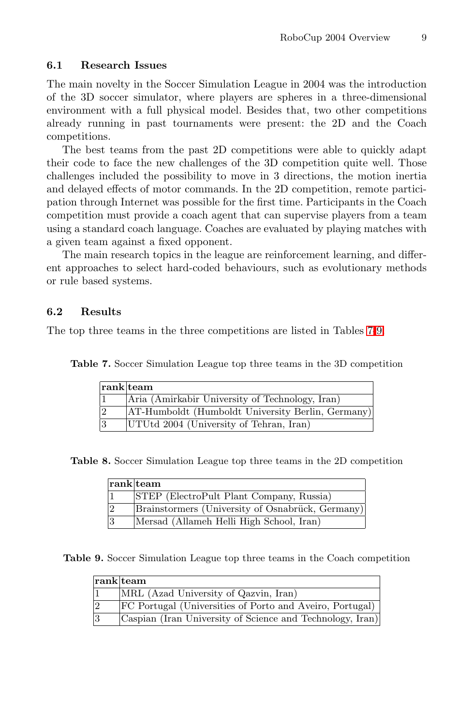#### **6.1 Research Issues**

The main novelty in the Soccer Simulation League in 2004 was the introduction of the 3D soccer simulator, where players are spheres in a three-dimensional environment with a full physical model. Besides that, two other competitions already running in past tournaments were present: the 2D and the Coach competitions.

The best teams from the past 2D competitions were able to quickly adapt their code to face the new challenges of the 3D competition quite well. Those challenges included the possibility to move in 3 directions, the motion inertia and delayed effects of motor commands. In the 2D competition, remote participation through Internet was possible for the first time. Participants in the Coach competition must provide a coach agent that can supervise players from a team using a standard coach language. Coaches are evaluated by playing matches with a given team against a fixed opponent.

The main research topics in the league are reinforcement learning, and different approaches to select hard-coded behaviours, such as evolutionary methods or rule based systems.

#### **6.2 Results**

The top three teams in the three competitions are listed in Tables 7-9.

**Table 7.** Soccer Simulation League top three teams in the 3D competition

|   | rank team                                         |
|---|---------------------------------------------------|
|   | Aria (Amirkabir University of Technology, Iran)   |
| 2 | AT-Humboldt (Humboldt University Berlin, Germany) |
| 3 | UTUtd 2004 (University of Tehran, Iran)           |

**Table 8.** Soccer Simulation League top three teams in the 2D competition

|            | rankteam                                         |
|------------|--------------------------------------------------|
|            | STEP (ElectroPult Plant Company, Russia)         |
| 2          | Brainstormers (University of Osnabrück, Germany) |
| $\sqrt{3}$ | Mersad (Allameh Helli High School, Iran)         |

**Table 9.** Soccer Simulation League top three teams in the Coach competition

| rankteam                                                        |
|-----------------------------------------------------------------|
| MRL (Azad University of Qazvin, Iran)                           |
| <b>FC</b> Portugal (Universities of Porto and Aveiro, Portugal) |
| Caspian (Iran University of Science and Technology, Iran)       |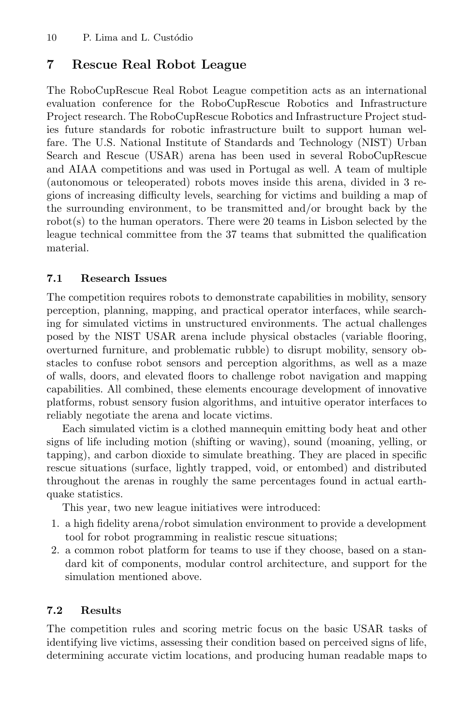## **7 Rescue Real Robot League**

The RoboCupRescue Real Robot League competition acts as an international evaluation conference for the RoboCupRescue Robotics and Infrastructure Project research. The RoboCupRescue Robotics and Infrastructure Project studies future standards for robotic infrastructure built to support human welfare. The U.S. National Institute of Standards and Technology (NIST) Urban Search and Rescue (USAR) arena has been used in several RoboCupRescue and AIAA competitions and was used in Portugal as well. A team of multiple (autonomous or teleoperated) robots moves inside this arena, divided in 3 regions of increasing difficulty levels, searching for victims and building a map of the surrounding environment, to be transmitted and/or brought back by the robot(s) to the human operators. There were 20 teams in Lisbon selected by the league technical committee from the 37 teams that submitted the qualification material.

### **7.1 Research Issues**

The competition requires robots to demonstrate capabilities in mobility, sensory perception, planning, mapping, and practical operator interfaces, while searching for simulated victims in unstructured environments. The actual challenges posed by the NIST USAR arena include physical obstacles (variable flooring, overturned furniture, and problematic rubble) to disrupt mobility, sensory obstacles to confuse robot sensors and perception algorithms, as well as a maze of walls, doors, and elevated floors to challenge robot navigation and mapping capabilities. All combined, these elements encourage development of innovative platforms, robust sensory fusion algorithms, and intuitive operator interfaces to reliably negotiate the arena and locate victims.

Each simulated victim is a clothed mannequin emitting body heat and other signs of life including motion (shifting or waving), sound (moaning, yelling, or tapping), and carbon dioxide to simulate breathing. They are placed in specific rescue situations (surface, lightly trapped, void, or entombed) and distributed throughout the arenas in roughly the same percentages found in actual earthquake statistics.

This year, two new league initiatives were introduced:

- 1. a high fidelity arena/robot simulation environment to provide a development tool for robot programming in realistic rescue situations;
- 2. a common robot platform for teams to use if they choose, based on a standard kit of components, modular control architecture, and support for the simulation mentioned above.

### **7.2 Results**

The competition rules and scoring metric focus on the basic USAR tasks of identifying live victims, assessing their condition based on perceived signs of life, determining accurate victim locations, and producing human readable maps to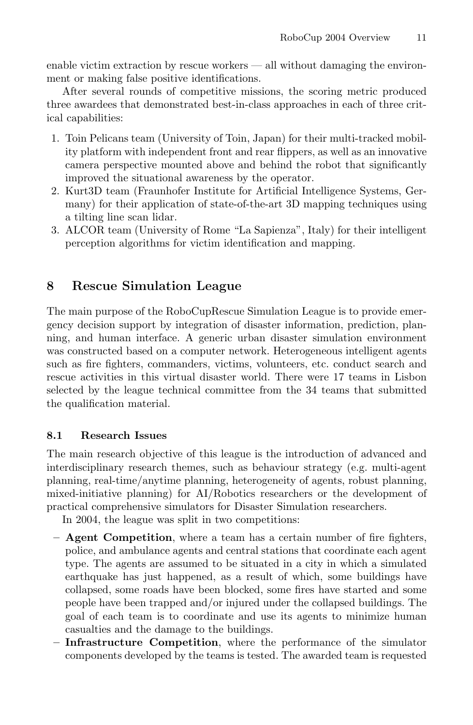enable victim extraction by rescue workers — all without damaging the environment or making false positive identifications.

After several rounds of competitive missions, the scoring metric produced three awardees that demonstrated best-in-class approaches in each of three critical capabilities:

- 1. Toin Pelicans team (University of Toin, Japan) for their multi-tracked mobility platform with independent front and rear flippers, as well as an innovative camera perspective mounted above and behind the robot that significantly improved the situational awareness by the operator.
- 2. Kurt3D team (Fraunhofer Institute for Artificial Intelligence Systems, Germany) for their application of state-of-the-art 3D mapping techniques using a tilting line scan lidar.
- 3. ALCOR team (University of Rome "La Sapienza", Italy) for their intelligent perception algorithms for victim identification and mapping.

## **8 Rescue Simulation League**

The main purpose of the RoboCupRescue Simulation League is to provide emergency decision support by integration of disaster information, prediction, planning, and human interface. A generic urban disaster simulation environment was constructed based on a computer network. Heterogeneous intelligent agents such as fire fighters, commanders, victims, volunteers, etc. conduct search and rescue activities in this virtual disaster world. There were 17 teams in Lisbon selected by the league technical committee from the 34 teams that submitted the qualification material.

### **8.1 Research Issues**

The main research objective of this league is the introduction of advanced and interdisciplinary research themes, such as behaviour strategy (e.g. multi-agent planning, real-time/anytime planning, heterogeneity of agents, robust planning, mixed-initiative planning) for AI/Robotics researchers or the development of practical comprehensive simulators for Disaster Simulation researchers.

In 2004, the league was split in two competitions:

- **Agent Competition**, where a team has a certain number of fire fighters, police, and ambulance agents and central stations that coordinate each agent type. The agents are assumed to be situated in a city in which a simulated earthquake has just happened, as a result of which, some buildings have collapsed, some roads have been blocked, some fires have started and some people have been trapped and/or injured under the collapsed buildings. The goal of each team is to coordinate and use its agents to minimize human casualties and the damage to the buildings.
- **Infrastructure Competition**, where the performance of the simulator components developed by the teams is tested. The awarded team is requested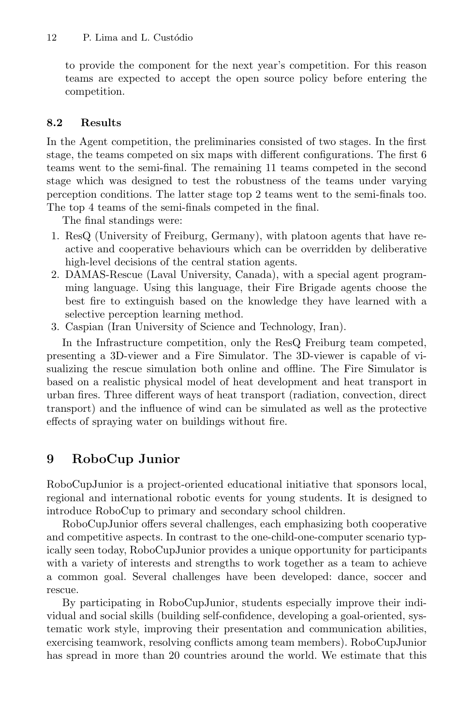to provide the component for the next year's competition. For this reason teams are expected to accept the open source policy before entering the competition.

### **8.2 Results**

In the Agent competition, the preliminaries consisted of two stages. In the first stage, the teams competed on six maps with different configurations. The first 6 teams went to the semi-final. The remaining 11 teams competed in the second stage which was designed to test the robustness of the teams under varying perception conditions. The latter stage top 2 teams went to the semi-finals too. The top 4 teams of the semi-finals competed in the final.

The final standings were:

- 1. ResQ (University of Freiburg, Germany), with platoon agents that have reactive and cooperative behaviours which can be overridden by deliberative high-level decisions of the central station agents.
- 2. DAMAS-Rescue (Laval University, Canada), with a special agent programming language. Using this language, their Fire Brigade agents choose the best fire to extinguish based on the knowledge they have learned with a selective perception learning method.
- 3. Caspian (Iran University of Science and Technology, Iran).

In the Infrastructure competition, only the ResQ Freiburg team competed, presenting a 3D-viewer and a Fire Simulator. The 3D-viewer is capable of visualizing the rescue simulation both online and offline. The Fire Simulator is based on a realistic physical model of heat development and heat transport in urban fires. Three different ways of heat transport (radiation, convection, direct transport) and the influence of wind can be simulated as well as the protective effects of spraying water on buildings without fire.

## **9 RoboCup Junior**

RoboCupJunior is a project-oriented educational initiative that sponsors local, regional and international robotic events for young students. It is designed to introduce RoboCup to primary and secondary school children.

RoboCupJunior offers several challenges, each emphasizing both cooperative and competitive aspects. In contrast to the one-child-one-computer scenario typically seen today, RoboCupJunior provides a unique opportunity for participants with a variety of interests and strengths to work together as a team to achieve a common goal. Several challenges have been developed: dance, soccer and rescue.

By participating in RoboCupJunior, students especially improve their individual and social skills (building self-confidence, developing a goal-oriented, systematic work style, improving their presentation and communication abilities, exercising teamwork, resolving conflicts among team members). RoboCupJunior has spread in more than 20 countries around the world. We estimate that this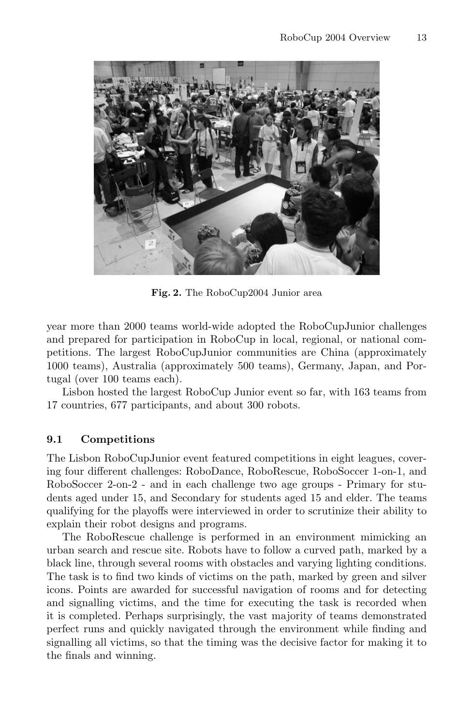

**Fig. 2.** The RoboCup2004 Junior area

year more than 2000 teams world-wide adopted the RoboCupJunior challenges and prepared for participation in RoboCup in local, regional, or national competitions. The largest RoboCupJunior communities are China (approximately 1000 teams), Australia (approximately 500 teams), Germany, Japan, and Portugal (over 100 teams each).

Lisbon hosted the largest RoboCup Junior event so far, with 163 teams from 17 countries, 677 participants, and about 300 robots.

### **9.1 Competitions**

The Lisbon RoboCupJunior event featured competitions in eight leagues, covering four different challenges: RoboDance, RoboRescue, RoboSoccer 1-on-1, and RoboSoccer 2-on-2 - and in each challenge two age groups - Primary for students aged under 15, and Secondary for students aged 15 and elder. The teams qualifying for the playoffs were interviewed in order to scrutinize their ability to explain their robot designs and programs.

The RoboRescue challenge is performed in an environment mimicking an urban search and rescue site. Robots have to follow a curved path, marked by a black line, through several rooms with obstacles and varying lighting conditions. The task is to find two kinds of victims on the path, marked by green and silver icons. Points are awarded for successful navigation of rooms and for detecting and signalling victims, and the time for executing the task is recorded when it is completed. Perhaps surprisingly, the vast majority of teams demonstrated perfect runs and quickly navigated through the environment while finding and signalling all victims, so that the timing was the decisive factor for making it to the finals and winning.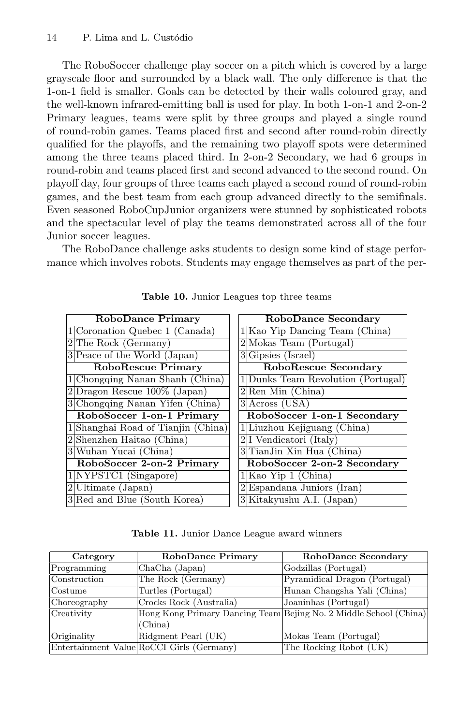<span id="page-13-0"></span>The RoboSoccer challenge play soccer on a pitch which is covered by a large grayscale floor and surrounded by a black wall. The only difference is that the 1-on-1 field is smaller. Goals can be detected by their walls coloured gray, and the well-known infrared-emitting ball is used for play. In both 1-on-1 and 2-on-2 Primary leagues, teams were split by three groups and played a single round of round-robin games. Teams placed first and second after round-robin directly qualified for the playoffs, and the remaining two playoff spots were determined among the three teams placed third. In 2-on-2 Secondary, we had 6 groups in round-robin and teams placed first and second advanced to the second round. On playoff day, four groups of three teams each played a second round of round-robin games, and the best team from each group advanced directly to the semifinals. Even seasoned RoboCupJunior organizers were stunned by sophisticated robots and the spectacular level of play the teams demonstrated across all of the four Junior soccer leagues.

The RoboDance challenge asks students to design some kind of stage performance which involves robots. Students may engage themselves as part of the per-

| <b>RoboDance Primary</b>           | <b>RoboDance Secondary</b>         |
|------------------------------------|------------------------------------|
| 1 Coronation Quebec 1 (Canada)     | Kao Yip Dancing Team (China)       |
| 2 The Rock (Germany)               | 2 Mokas Team (Portugal)            |
| 3 Peace of the World (Japan)       | 3 Gipsies (Israel)                 |
| <b>RoboRescue Primary</b>          | RoboRescue Secondary               |
| 1 Chongqing Nanan Shanh (China)    | 1 Dunks Team Revolution (Portugal) |
| $2$ Dragon Rescue $100\%$ (Japan)  | $2$  Ren Min (China)               |
| 3 Chongqing Nanan Yifen (China)    | $3$ Across (USA)                   |
| RoboSoccer 1-on-1 Primary          | RoboSoccer 1-on-1 Secondary        |
| 1 Shanghai Road of Tianjin (China) | 1 Liuzhou Kejiguang (China)        |
| 2 Shenzhen Haitao (China)          | $2 I$ Vendicatori (Italy)          |
| 3 Wuhan Yucai (China)              | 3 TianJin Xin Hua (China)          |
| RoboSoccer 2-on-2 Primary          | RoboSoccer 2-on-2 Secondary        |
| 1 NYPSTC1 (Singapore)              | 1 Kao Yip 1 (China)                |
| 2Ultimate (Japan)                  | $2$ Espandana Juniors (Iran)       |
| 3 Red and Blue (South Korea)       | 3 Kitakyushu A.I. (Japan)          |

**Table 10.** Junior Leagues top three teams

**Table 11.** Junior Dance League award winners

| Category     | <b>RoboDance Primary</b>                                          | RoboDance Secondary           |
|--------------|-------------------------------------------------------------------|-------------------------------|
| Programming  | ChaCha (Japan)                                                    | Godzillas (Portugal)          |
| Construction | The Rock (Germany)                                                | Pyramidical Dragon (Portugal) |
| Costume      | Turtles (Portugal)                                                | Hunan Changsha Yali (China)   |
| Choreography | Crocks Rock (Australia)                                           | Joaninhas (Portugal)          |
| Creativity   | Hong Kong Primary Dancing Team Bejing No. 2 Middle School (China) |                               |
|              | (China)                                                           |                               |
| Originality  | Ridgment Pearl (UK)                                               | Mokas Team (Portugal)         |
|              | Entertainment Value RoCCI Girls (Germany)                         | The Rocking Robot (UK)        |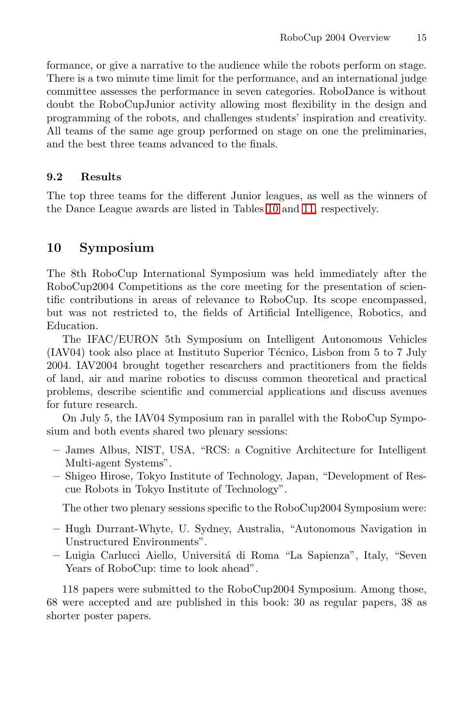formance, or give a narrative to the audience while the robots perform on stage. There is a two minute time limit for the performance, and an international judge committee assesses the performance in seven categories. RoboDance is without doubt the RoboCupJunior activity allowing most flexibility in the design and programming of the robots, and challenges students' inspiration and creativity. All teams of the same age group performed on stage on one the preliminaries, and the best three teams advanced to the finals.

### **9.2 Results**

The top three teams for the different Junior leagues, as well as the winners of the Dance League awards are listed in Tables [10](#page-13-0) and [11,](#page-13-0) respectively.

## **10 Symposium**

The 8th RoboCup International Symposium was held immediately after the RoboCup2004 Competitions as the core meeting for the presentation of scientific contributions in areas of relevance to RoboCup. Its scope encompassed, but was not restricted to, the fields of Artificial Intelligence, Robotics, and Education.

The IFAC/EURON 5th Symposium on Intelligent Autonomous Vehicles  $(IAV04)$  took also place at Instituto Superior Técnico, Lisbon from 5 to 7 July 2004. IAV2004 brought together researchers and practitioners from the fields of land, air and marine robotics to discuss common theoretical and practical problems, describe scientific and commercial applications and discuss avenues for future research.

On July 5, the IAV04 Symposium ran in parallel with the RoboCup Symposium and both events shared two plenary sessions:

- **–** James Albus, NIST, USA, "RCS: a Cognitive Architecture for Intelligent Multi-agent Systems".
- **–** Shigeo Hirose, Tokyo Institute of Technology, Japan, "Development of Rescue Robots in Tokyo Institute of Technology".

The other two plenary sessions specific to the RoboCup2004 Symposium were:

- **–** Hugh Durrant-Whyte, U. Sydney, Australia, "Autonomous Navigation in Unstructured Environments".
- **–** Luigia Carlucci Aiello, Universit´a di Roma "La Sapienza", Italy, "Seven Years of RoboCup: time to look ahead".

118 papers were submitted to the RoboCup2004 Symposium. Among those, 68 were accepted and are published in this book: 30 as regular papers, 38 as shorter poster papers.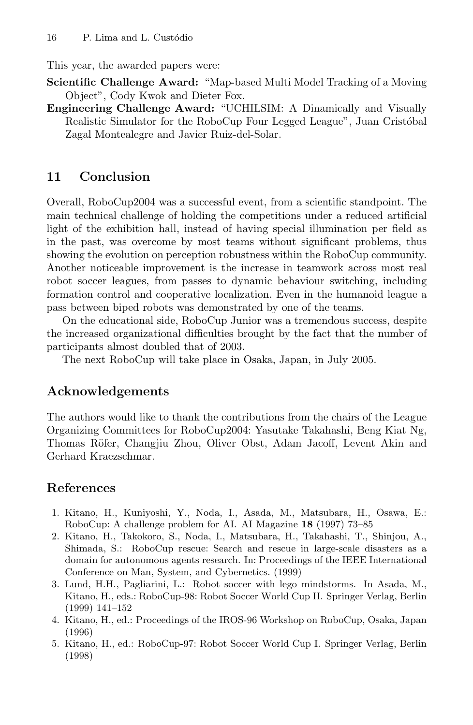<span id="page-15-0"></span>This year, the awarded papers were:

- **Scientific Challenge Award:** "Map-based Multi Model Tracking of a Moving Object", Cody Kwok and Dieter Fox.
- **Engineering Challenge Award:** "UCHILSIM: A Dinamically and Visually Realistic Simulator for the RoboCup Four Legged League", Juan Cristóbal Zagal Montealegre and Javier Ruiz-del-Solar.

## **11 Conclusion**

Overall, RoboCup2004 was a successful event, from a scientific standpoint. The main technical challenge of holding the competitions under a reduced artificial light of the exhibition hall, instead of having special illumination per field as in the past, was overcome by most teams without significant problems, thus showing the evolution on perception robustness within the RoboCup community. Another noticeable improvement is the increase in teamwork across most real robot soccer leagues, from passes to dynamic behaviour switching, including formation control and cooperative localization. Even in the humanoid league a pass between biped robots was demonstrated by one of the teams.

On the educational side, RoboCup Junior was a tremendous success, despite the increased organizational difficulties brought by the fact that the number of participants almost doubled that of 2003.

The next RoboCup will take place in Osaka, Japan, in July 2005.

## **Acknowledgements**

The authors would like to thank the contributions from the chairs of the League Organizing Committees for RoboCup2004: Yasutake Takahashi, Beng Kiat Ng, Thomas Röfer, Changjiu Zhou, Oliver Obst, Adam Jacoff, Levent Akin and Gerhard Kraezschmar.

## **References**

- 1. Kitano, H., Kuniyoshi, Y., Noda, I., Asada, M., Matsubara, H., Osawa, E.: RoboCup: A challenge problem for AI. AI Magazine **18** (1997) 73–85
- 2. Kitano, H., Takokoro, S., Noda, I., Matsubara, H., Takahashi, T., Shinjou, A., Shimada, S.: RoboCup rescue: Search and rescue in large-scale disasters as a domain for autonomous agents research. In: Proceedings of the IEEE International Conference on Man, System, and Cybernetics. (1999)
- 3. Lund, H.H., Pagliarini, L.: Robot soccer with lego mindstorms. In Asada, M., Kitano, H., eds.: RoboCup-98: Robot Soccer World Cup II. Springer Verlag, Berlin (1999) 141–152
- 4. Kitano, H., ed.: Proceedings of the IROS-96 Workshop on RoboCup, Osaka, Japan (1996)
- 5. Kitano, H., ed.: RoboCup-97: Robot Soccer World Cup I. Springer Verlag, Berlin (1998)